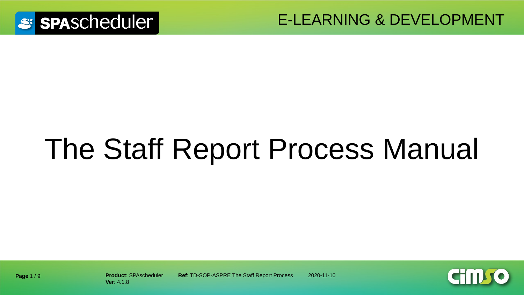

E-LEARNING & DEVELOPMENT

# The Staff Report Process Manual



**Ver**: 4.1.8

**Product: SPAscheduler <b>Ref:** TD-SOP-ASPRE The Staff Report Process 2020-11-10

**Page** 1 / 9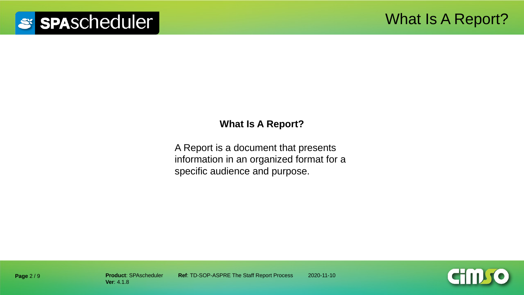#### **What Is A Report?**

A Report is a document that presents information in an organized format for a specific audience and purpose.

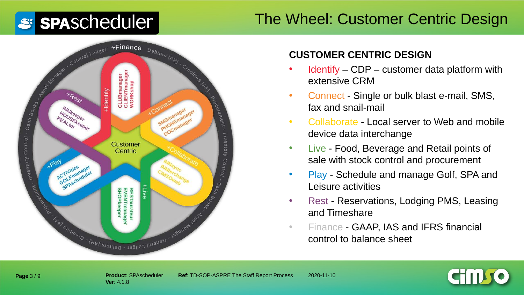### The Wheel: Customer Centric Design



#### **CUSTOMER CENTRIC DESIGN**

- Identify CDP customer data platform with extensive CRM
- Connect Single or bulk blast e-mail, SMS, fax and snail-mail
- Collaborate Local server to Web and mobile device data interchange
- Live Food, Beverage and Retail points of sale with stock control and procurement
- Play Schedule and manage Golf, SPA and Leisure activities
- Rest Reservations, Lodging PMS, Leasing and Timeshare
- Finance GAAP, IAS and IFRS financial control to balance sheet

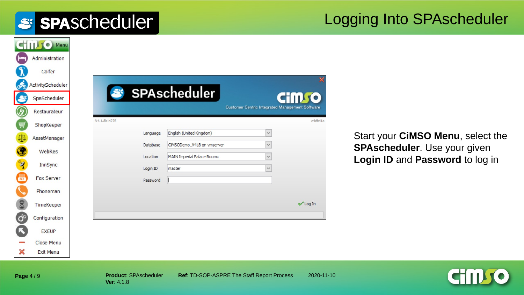#### Logging Into SPAscheduler

|                    | C Menu                         |
|--------------------|--------------------------------|
| —                  | Administration                 |
|                    | Golfer                         |
| o€                 | ActivityScheduler              |
|                    | SpaScheduler                   |
|                    | Restaurateur                   |
|                    | ShopKeeper                     |
| 4                  | AssetManager                   |
|                    | WebRes                         |
| $\mathbf{\hat{z}}$ | InnSync                        |
| 鳳                  | <b>Fax Server</b>              |
|                    | Phoneman                       |
| 8                  |                                |
|                    | TimeKeeper                     |
| $\sigma^{\circ}$   | Configuration                  |
|                    | <b>EXEUP</b>                   |
| ×                  | Close Menu<br><b>Exit Menu</b> |

Start your **CiMSO Menu**, select the **SPAscheduler**. Use your given **Login ID** and **Password** to log in



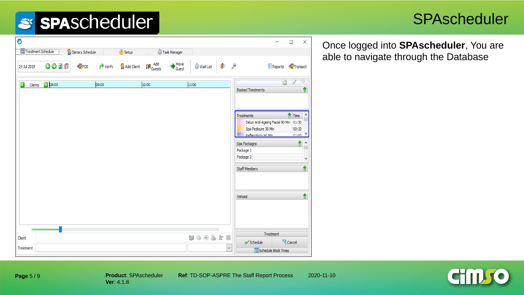#### **SPAscheduler**

|          |                          |                |          | Once logged into SPAscheduler, You are |
|----------|--------------------------|----------------|----------|----------------------------------------|
| ait List |                          | <b>Reports</b> | Transact | able to navigate through the Database  |
|          | <b>Booked Treatments</b> |                |          |                                        |
|          |                          |                |          |                                        |

 $\bullet$ Treatment Schedule Dietary Schedule Setup Task Manager Add Client Co Add  $Move$  Guest GODD POS OW.  $\rightarrow$  Verify 24 Jul 2019 C Clients 2 08:00 10:00 11:00 09:00 Time Treatments Delux Anti-Ageing Facial 90 Min 01:30 Spa Pedicure 30 Min 00:30 Deflevology 60 Min  $n1.00$  V 合 ^ Spa Packages Package 1 Package 2  $\vee$ **Staff Members** Venues Treatment  $w \oplus \oplus x \equiv$ Client <sup>63</sup> Cancel  $\checkmark$  Schedule  $\checkmark$ Treatment Schedule Block Times

**Cimso**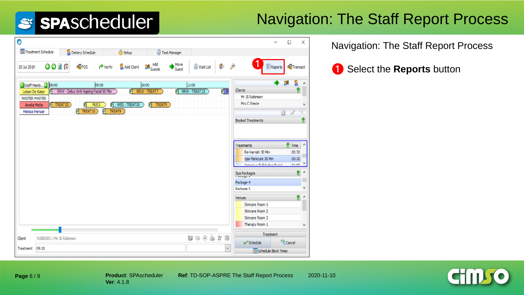## Navigation: The Staff Report Process

| $\bullet$                                |                           |                                       |                          |              |               |               |               |              |                                    |                  | $\Box$               | $\times$ |
|------------------------------------------|---------------------------|---------------------------------------|--------------------------|--------------|---------------|---------------|---------------|--------------|------------------------------------|------------------|----------------------|----------|
|                                          | Treatment Schedule        | Dietary Schedule                      |                          | <b>Setup</b> |               | Task Manager  |               |              |                                    |                  |                      |          |
| 25 Jul 2019                              | GOZD                      | POS                                   | $\leftrightarrow$ Verify | Add Client   | <b>Re</b> Add | Move<br>Guest | Wait List     | $\mathbf{z}$ | €                                  | <b>E</b> Reports | Transact             |          |
|                                          | Staff Memb 2 08:00        |                                       | 09:00                    |              | 10:00         |               | 11:00         |              | <b>Clients</b>                     |                  | J.                   |          |
| Leilani De Koker<br><b>MASTER MASTER</b> | P                         | RRW - Delux Anti-Ageing Facial 90 Min |                          | 可            | RRW - TREAT7  | 可             | RRW - TREAT13 | <b>PIRF</b>  | Mr JS Robinson                     |                  | U                    |          |
| <b>Amelia Metts</b>                      | P TREAT10                 | $\boxed{\mathsf{P}}$                  | MUS1<br>P                | WES-TREAT15  | P TREAT9      |               |               |              | Mrs C Weste                        |                  |                      | v        |
| Melissa Pienaar                          |                           | P TREAT10                             | P TREAT9                 |              |               |               |               |              |                                    |                  |                      |          |
|                                          |                           |                                       |                          |              |               |               |               |              | <b>Booked Treatments</b>           |                  |                      |          |
|                                          |                           |                                       |                          |              |               |               |               |              |                                    |                  |                      |          |
|                                          |                           |                                       |                          |              |               |               |               |              | Treatments                         |                  | Time                 | $\wedge$ |
|                                          |                           |                                       |                          |              |               |               |               |              | Re-Varnish 30 Min                  |                  | 00:30                |          |
|                                          |                           |                                       |                          |              |               |               |               |              | Spa Manicure 30 Min                |                  | 00:30                |          |
|                                          |                           |                                       |                          |              |               |               |               |              | Internition Exfoliation Eartel     |                  | n1.00                |          |
|                                          |                           |                                       |                          |              |               |               |               |              | Spa Packages                       |                  | û                    | $\wedge$ |
|                                          |                           |                                       |                          |              |               |               |               |              | Package 4                          |                  |                      |          |
|                                          |                           |                                       |                          |              |               |               |               |              | Package 5                          |                  |                      | ٧        |
|                                          |                           |                                       |                          |              |               |               |               |              | Venues                             |                  | 1                    | $\wedge$ |
|                                          |                           |                                       |                          |              |               |               |               |              | Skincare Room 1                    |                  |                      |          |
|                                          |                           |                                       |                          |              |               |               |               |              | Skincare Room 2<br>Skincare Room 3 |                  |                      |          |
|                                          |                           |                                       |                          |              |               |               |               |              | Therapy Room 1                     |                  |                      | v        |
|                                          |                           |                                       |                          |              |               |               |               |              |                                    | Treatment        |                      |          |
| Client                                   | ROBI0001 / Mr JS Robinson |                                       |                          |              |               |               | なっもとま         |              | <b>√</b> Schedule                  |                  | <sup>62</sup> Cancel |          |
| Treatment                                | 09:10                     |                                       |                          |              |               |               |               | $\checkmark$ | Schedule Block Times               |                  |                      |          |
|                                          |                           |                                       |                          |              |               |               |               |              |                                    |                  |                      |          |

Navigation: The Staff Report Process

<sup>❶</sup> <sup>❶</sup> Select the **Reports** button

**Page** 6 / 9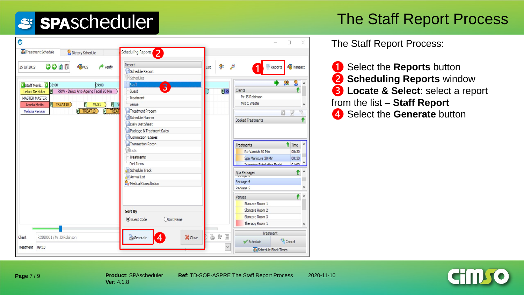### The Staff Report Process

| $\bullet$                                                                         |                                      |                   | X                                                                       |
|-----------------------------------------------------------------------------------|--------------------------------------|-------------------|-------------------------------------------------------------------------|
| Treatment Schedule<br>Dietary Schedule                                            | Scheduling Reports<br>$\overline{z}$ |                   |                                                                         |
| GODI<br>POS<br>$\rightarrow$ Verify<br>25 Jul 2019                                | Report<br>Schedule Report            | \$<br>List        | $\frac{1}{n}$ Reports<br>Transact                                       |
|                                                                                   | Schedules                            |                   |                                                                         |
| Staff Memb 2 08:00<br>09:00<br>Ipi                                                | Staff<br>$\overline{3}$<br>Guest     | $\overline{P}$ RF | <b>Clients</b>                                                          |
| RRW - Delux Anti-Ageing Facial 90 Min<br>Leilani De Koker<br><b>MASTER MASTER</b> | Treatment                            |                   | Mr JS Robinson                                                          |
| P TREAT10<br>MUS <sub>1</sub><br><b>Amelia Metts</b>                              | Venue                                |                   | Mrs C Weste<br>٧                                                        |
| el.<br>PI<br><b>P</b> TREAT<br>P TREAT10                                          | Treatment Progam                     |                   |                                                                         |
| Melissa Pienaar                                                                   | Schedule Planner                     |                   | Ð                                                                       |
|                                                                                   | Daily Diet Sheet                     |                   | ↑<br><b>Booked Treatments</b>                                           |
|                                                                                   | Package & Treatment Sales            |                   |                                                                         |
|                                                                                   | Commission & Sales                   |                   |                                                                         |
|                                                                                   | Transaction Recon                    |                   |                                                                         |
|                                                                                   | <b>del</b> Lists                     |                   | Time<br><b>Treatments</b>                                               |
|                                                                                   | Treatments                           |                   | Re-Varnish 30 Min<br>00:30                                              |
|                                                                                   | Diet Items                           |                   | Spa Manicure 30 Min<br>00:30<br>Internation Eufeliation Eartal<br>01.00 |
|                                                                                   | Schedule Track                       |                   | ٨                                                                       |
|                                                                                   | <b>E</b> Arrival List                |                   | ↟<br>Spa Packages                                                       |
|                                                                                   | Medical Consultation                 |                   | Package 4                                                               |
|                                                                                   |                                      |                   | Package 5                                                               |
|                                                                                   |                                      |                   | €<br>$\wedge$<br>Venues                                                 |
|                                                                                   |                                      |                   | Skincare Room 1                                                         |
|                                                                                   | Sort By                              |                   | Skincare Room 2                                                         |
|                                                                                   | <b>O</b> Guest Code<br>OUnit Name    |                   | Skincare Room 3                                                         |
|                                                                                   |                                      |                   | Therapy Room 1<br>v                                                     |
| Client                                                                            | X Close                              | 26<br>目           | Treatment                                                               |
| ROBI0001 / Mr JS Robinson                                                         | Generate<br>4                        |                   | <sup>63</sup> Cancel<br>Schedule                                        |
| 09:10<br>Treatment                                                                |                                      | $\checkmark$      | Schedule Block Times                                                    |

The Staff Report Process:

 Select the **Reports** button **Scheduling Reports** window **Locate & Select**: select a report from the list – **Staff Report** Select the **Generate** button

**Page** 7 / 9

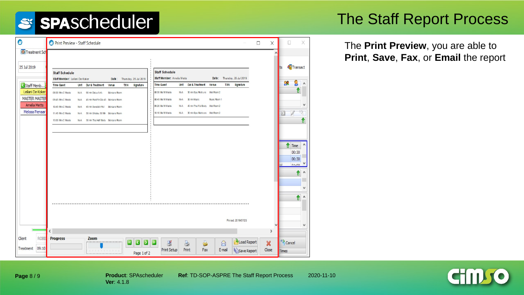#### The Staff Report Process

The **Print Preview**, you are able to **Print**, **Save**, **Fax**, or **Email** the report

| ◉                                            | Print Preview - Staff Schedule                                                                                                                                                                                                         | $\Box$<br>$\times$                 | X<br>$\sim$                               |
|----------------------------------------------|----------------------------------------------------------------------------------------------------------------------------------------------------------------------------------------------------------------------------------------|------------------------------------|-------------------------------------------|
| Treatment Sch                                |                                                                                                                                                                                                                                        | $\wedge$                           |                                           |
| 25 Jul 2019                                  | <b>Staff Schedule</b><br><b>Staff Schedule</b><br>Staff Member: Ameia Metts<br>Date: Thursday, 25 Jul 2019                                                                                                                             |                                    | Transact                                  |
| Staff Memb                                   | Date: Thursday, 25 Jul 2019<br>Staff Member: Leilani De Koker<br><b>Time Guest</b><br>Dur & Treatment Venue<br><b>TXN</b><br><b>Signature</b><br>Signature<br><b>Unit</b><br><b>Time Guest</b><br>Unit Dur & Treatment<br>TXN<br>Venue |                                    | 28                                        |
| Leilani De Koker                             | 08:00 Ms MWeste<br>30 min Spa Redicure Wet Room 2<br>08:00 Mrs C Weste<br>Séngare Room<br>N/-A<br><b>NAA</b><br>90 min Daiux Anti-<br>٠                                                                                                |                                    |                                           |
| <b>MASTER MASTER</b>                         | 08:45 Ms MWaste<br>Music Room 1<br>30 min Music<br>09:45 Mrs C Weste<br>N/-A<br>45 min Paraffin Dip 45 Skingare Room<br>NAA.                                                                                                           |                                    |                                           |
| <b>Amelia Metts</b>                          | 09:20 Ms MWaste<br>45 min Thai Full Body Wet Room 2<br>N/-A<br>10:45 Mrs C Weste<br>45 min Swedish Rull Skingare Room<br><b>NA</b>                                                                                                     |                                    |                                           |
| Melissa Pienaar                              | 10:10 Ms MWaste<br>30 min Spa Maricure Wet Room 2<br>50 min Shiatsu 50 Mn Skingare Room<br>N/-A<br>11:45 Mrs C Weste<br><b>ALLA</b>                                                                                                    |                                    |                                           |
|                                              | NAA 30 min Thai Half Body Skingare Room<br>13:00 Mrs C Weste                                                                                                                                                                           |                                    |                                           |
|                                              |                                                                                                                                                                                                                                        |                                    | Time<br>00:30<br>00:30<br>01.00<br>€<br>٨ |
|                                              | Printed: 2019/07/25                                                                                                                                                                                                                    | ٧                                  | v                                         |
|                                              | ∢                                                                                                                                                                                                                                      | >                                  |                                           |
| Client<br><b>ROBIO</b><br>09:10<br>Treatment | <b>Progress</b><br>Zoom<br>Load Report<br>3<br>g<br>O<br>$\circledR$<br>Print Setup<br>Print<br>E-mail<br><b>It's</b> Save Report<br>Fax<br>THE R. P. LEWIS CO., LANSING MICH.<br>Page 1 of 2                                          | $\boldsymbol{\mathsf{x}}$<br>Close | <sup>63</sup> Cancel<br>Times             |

**Page** 8 / 9

**Ver**: 4.1.8